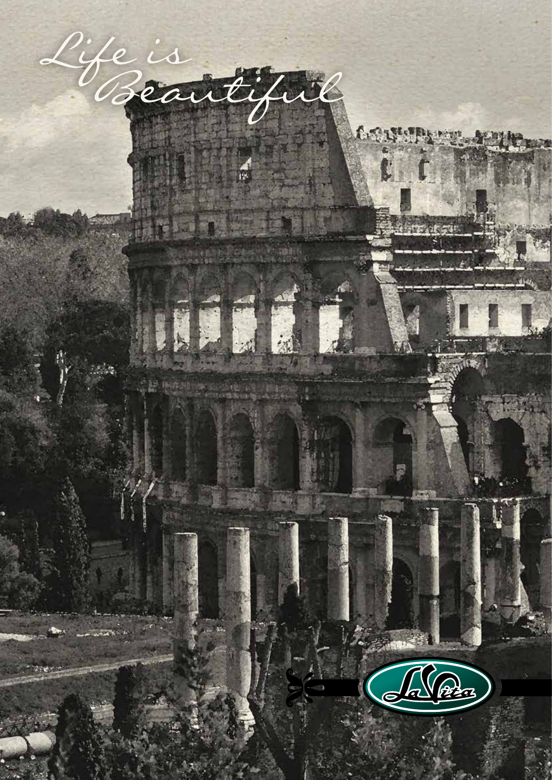